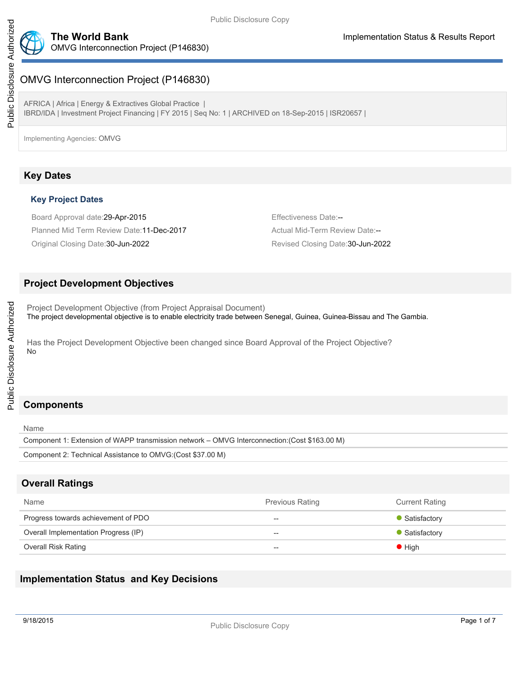# OMVG Interconnection Project (P146830)

OMVG Interconnection Project (P146830)

AFRICA | Africa | Energy & Extractives Global Practice | IBRD/IDA | Investment Project Financing | FY 2015 | Seq No: 1 | ARCHIVED on 18-Sep-2015 | ISR20657 |

Implementing Agencies: OMVG

## **Key Dates**

#### **Key Project Dates**

Board Approval date:29-Apr-2015 Effectiveness Date:-- Planned Mid Term Review Date:11-Dec-2017 Actual Mid-Term Review Date:--Original Closing Date:30-Jun-2022 Revised Closing Date:30-Jun-2022

### **Project Development Objectives**

Project Development Objective (from Project Appraisal Document) The project developmental objective is to enable electricity trade between Senegal, Guinea, Guinea-Bissau and The Gambia.

Has the Project Development Objective been changed since Board Approval of the Project Objective? No

# **Components**

Name

Component 1: Extension of WAPP transmission network – OMVG Interconnection:(Cost \$163.00 M)

```
Component 2: Technical Assistance to OMVG:(Cost $37.00 M)
```
# **Overall Ratings**

| Name                                 | <b>Previous Rating</b> | <b>Current Rating</b> |
|--------------------------------------|------------------------|-----------------------|
| Progress towards achievement of PDO  | $- -$                  | • Satisfactory        |
| Overall Implementation Progress (IP) | $- -$                  | • Satisfactory        |
| <b>Overall Risk Rating</b>           | $- -$                  | $\bullet$ High        |

## **Implementation Status and Key Decisions**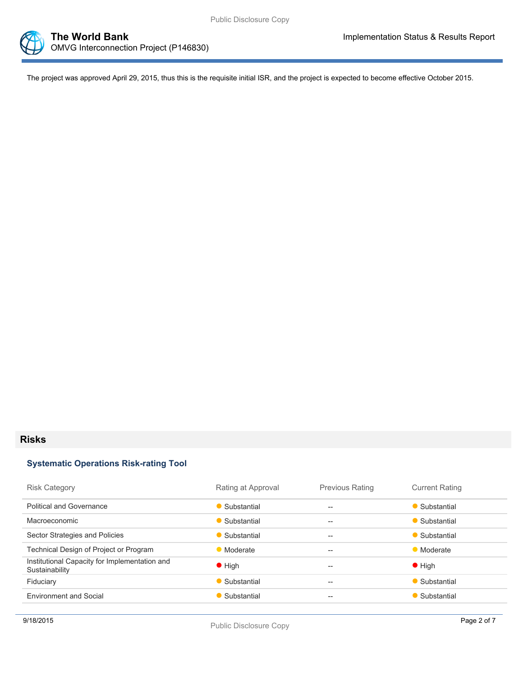

The project was approved April 29, 2015, thus this is the requisite initial ISR, and the project is expected to become effective October 2015.

## **Risks**

### **Systematic Operations Risk-rating Tool**

| <b>Risk Category</b>                                            | Rating at Approval | <b>Previous Rating</b> | <b>Current Rating</b> |
|-----------------------------------------------------------------|--------------------|------------------------|-----------------------|
| <b>Political and Governance</b>                                 | • Substantial      | $-$                    | • Substantial         |
| Macroeconomic                                                   | • Substantial      | $- -$                  | • Substantial         |
| Sector Strategies and Policies                                  | • Substantial      | $-$                    | • Substantial         |
| Technical Design of Project or Program                          | • Moderate         | $- -$                  | • Moderate            |
| Institutional Capacity for Implementation and<br>Sustainability | $\bullet$ High     | $- -$                  | $\bullet$ High        |
| Fiduciary                                                       | • Substantial      | $- -$                  | Substantial           |
| <b>Environment and Social</b>                                   | • Substantial      | $- -$                  | Substantial           |
|                                                                 |                    |                        |                       |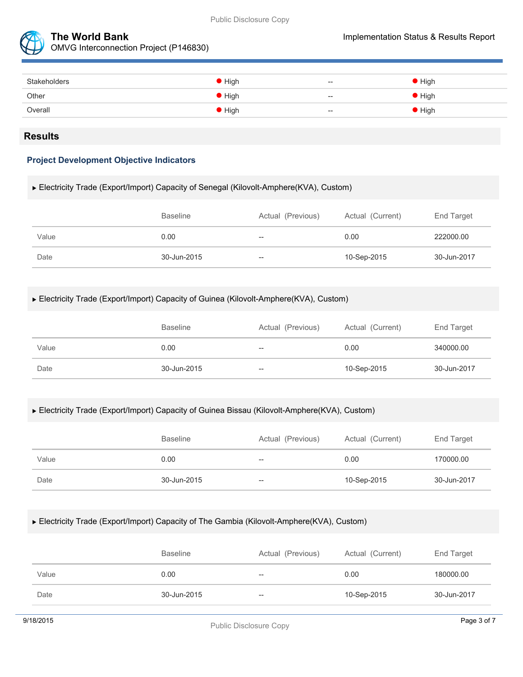

**The World Bank Implementation Status & Results Report** OMVG Interconnection Project (P146830)

| Stakeholders | $\bullet$ High | $\hspace{0.05cm} -\hspace{0.05cm} -\hspace{0.05cm}$ | $\bullet$ High |
|--------------|----------------|-----------------------------------------------------|----------------|
| Other        | $\bullet$ High | $\overline{\phantom{a}}$                            | $\bullet$ High |
| Overall      | $\bullet$ High | $\hspace{0.05cm} -\hspace{0.05cm} -\hspace{0.05cm}$ | $\bullet$ High |
|              |                |                                                     |                |

### **Results**

### **Project Development Objective Indicators**

Electricity Trade (Export/Import) Capacity of Senegal (Kilovolt-Amphere(KVA), Custom)

|       | <b>Baseline</b> | Actual (Previous) | Actual (Current) | End Target  |
|-------|-----------------|-------------------|------------------|-------------|
| Value | 0.00            | $- -$             | 0.00             | 222000.00   |
| Date  | 30-Jun-2015     | $- -$             | 10-Sep-2015      | 30-Jun-2017 |

#### Electricity Trade (Export/Import) Capacity of Guinea (Kilovolt-Amphere(KVA), Custom)

|       | Baseline    | Actual (Previous) | Actual (Current) | End Target  |
|-------|-------------|-------------------|------------------|-------------|
| Value | 0.00        | $- -$             | 0.00             | 340000.00   |
| Date  | 30-Jun-2015 | $-\!$             | 10-Sep-2015      | 30-Jun-2017 |

#### Electricity Trade (Export/Import) Capacity of Guinea Bissau (Kilovolt-Amphere(KVA), Custom)

|       | <b>Baseline</b> | Actual (Previous) | Actual (Current) | End Target  |
|-------|-----------------|-------------------|------------------|-------------|
| Value | 0.00            | $- -$             | 0.00             | 170000.00   |
| Date  | 30-Jun-2015     | $- -$             | 10-Sep-2015      | 30-Jun-2017 |

#### Electricity Trade (Export/Import) Capacity of The Gambia (Kilovolt-Amphere(KVA), Custom)

|       | <b>Baseline</b> | Actual (Previous) | Actual (Current) | End Target  |
|-------|-----------------|-------------------|------------------|-------------|
| Value | 0.00            | $- -$             | 0.00             | 180000.00   |
| Date  | 30-Jun-2015     | --                | 10-Sep-2015      | 30-Jun-2017 |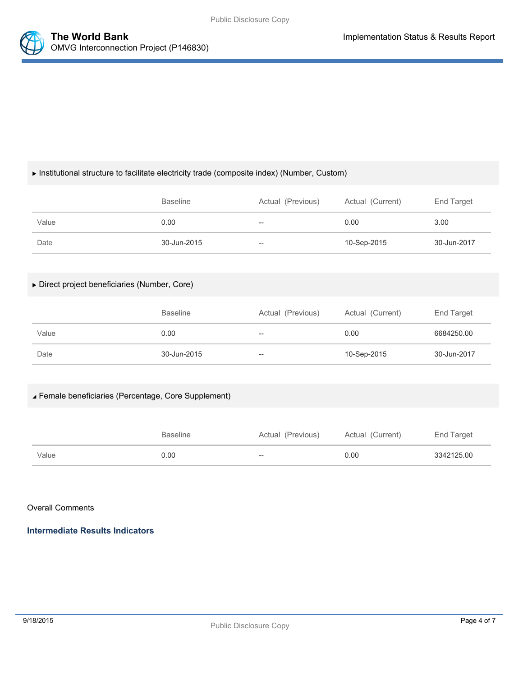

#### Institutional structure to facilitate electricity trade (composite index) (Number, Custom)

|       | <b>Baseline</b> | Actual (Previous) | Actual (Current) | End Target  |
|-------|-----------------|-------------------|------------------|-------------|
| Value | 0.00            | --                | 0.00             | 3.00        |
| Date  | 30-Jun-2015     | $- -$             | 10-Sep-2015      | 30-Jun-2017 |

#### Direct project beneficiaries (Number, Core)

|       | <b>Baseline</b> | Actual (Previous) | Actual (Current) | End Target  |
|-------|-----------------|-------------------|------------------|-------------|
| Value | 0.00            | $- -$             | 0.00             | 6684250.00  |
| Date  | 30-Jun-2015     | --                | 10-Sep-2015      | 30-Jun-2017 |

#### Female beneficiaries (Percentage, Core Supplement)

|       | Baseline | Actual (Previous) | Actual (Current) | End Target |
|-------|----------|-------------------|------------------|------------|
| Value | 0.00     | $- -$             | 0.00             | 3342125.00 |

#### Overall Comments

**Intermediate Results Indicators**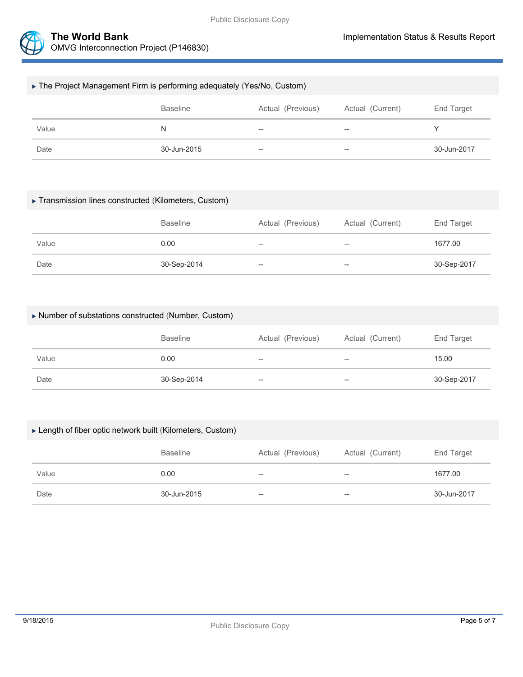

#### The Project Management Firm is performing adequately (Yes/No, Custom)

|       | Baseline    | Actual (Previous)                     | Actual (Current)                      | End Target  |
|-------|-------------|---------------------------------------|---------------------------------------|-------------|
| Value | N           | $\hspace{0.05cm}$ – $\hspace{0.05cm}$ | $\hspace{0.05cm}$ – $\hspace{0.05cm}$ |             |
| Date  | 30-Jun-2015 | $\overline{\phantom{m}}$              | $- -$                                 | 30-Jun-2017 |

#### Transmission lines constructed (Kilometers, Custom)

|       | <b>Baseline</b> | Actual (Previous) | Actual (Current)         | End Target  |
|-------|-----------------|-------------------|--------------------------|-------------|
| Value | 0.00            | --                | $\overline{\phantom{m}}$ | 1677.00     |
| Date  | 30-Sep-2014     | $- -$             | $- -$                    | 30-Sep-2017 |

### Number of substations constructed (Number, Custom)

|       | <b>Baseline</b> | Actual (Previous) | Actual (Current) | End Target  |
|-------|-----------------|-------------------|------------------|-------------|
| Value | 0.00            | $- -$             | $- -$            | 15.00       |
| Date  | 30-Sep-2014     | $- -$             | $- -$            | 30-Sep-2017 |

#### Length of fiber optic network built (Kilometers, Custom)

|       | <b>Baseline</b> | Actual (Previous) | Actual (Current) | End Target  |
|-------|-----------------|-------------------|------------------|-------------|
| Value | 0.00            | $- -$             | $- -$            | 1677.00     |
| Date  | 30-Jun-2015     | $- -$             | $- -$            | 30-Jun-2017 |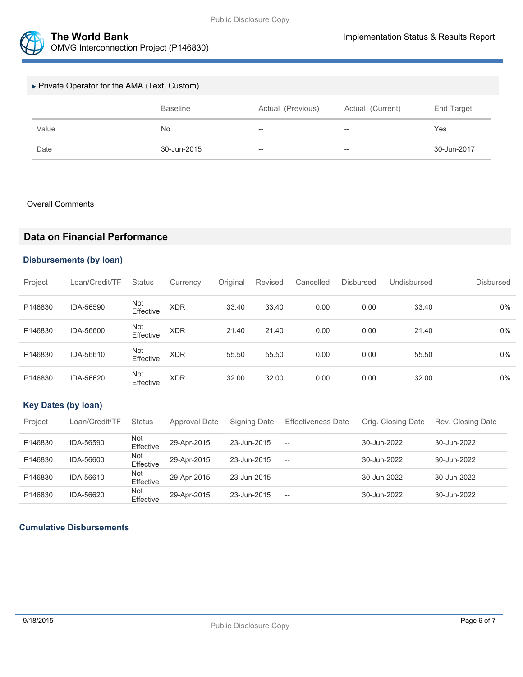

| ► Private Operator for the AMA (Text, Custom) |                 |                   |                   |             |  |  |  |
|-----------------------------------------------|-----------------|-------------------|-------------------|-------------|--|--|--|
|                                               | <b>Baseline</b> | Actual (Previous) | Actual (Current)  | End Target  |  |  |  |
| Value                                         | No              | $- -$             | $\hspace{0.05cm}$ | Yes         |  |  |  |
| Date                                          | 30-Jun-2015     | $- -$             | $- -$             | 30-Jun-2017 |  |  |  |

#### Overall Comments

## **Data on Financial Performance**

#### **Disbursements (by loan)**

| Project | Loan/Credit/TF | <b>Status</b>    | Currency   | Original | Revised | Cancelled | <b>Disbursed</b> | Undisbursed | <b>Disbursed</b> |
|---------|----------------|------------------|------------|----------|---------|-----------|------------------|-------------|------------------|
| P146830 | IDA-56590      | Not<br>Effective | <b>XDR</b> | 33.40    | 33.40   | 0.00      | 0.00             | 33.40       | $0\%$            |
| P146830 | IDA-56600      | Not<br>Effective | <b>XDR</b> | 21.40    | 21.40   | 0.00      | 0.00             | 21.40       | $0\%$            |
| P146830 | IDA-56610      | Not<br>Effective | <b>XDR</b> | 55.50    | 55.50   | 0.00      | 0.00             | 55.50       | $0\%$            |
| P146830 | IDA-56620      | Not<br>Effective | <b>XDR</b> | 32.00    | 32.00   | 0.00      | 0.00             | 32.00       | $0\%$            |

## **Key Dates (by loan)**

| Project | Loan/Credit/TF | <b>Status</b>           | Approval Date | Signing Date | <b>Effectiveness Date</b> | Orig. Closing Date | Rev. Closing Date |
|---------|----------------|-------------------------|---------------|--------------|---------------------------|--------------------|-------------------|
| P146830 | IDA-56590      | Not<br>Effective        | 29-Apr-2015   | 23-Jun-2015  | $\hspace{0.05cm} -$       | 30-Jun-2022        | 30-Jun-2022       |
| P146830 | IDA-56600      | <b>Not</b><br>Effective | 29-Apr-2015   | 23-Jun-2015  | $\hspace{0.05cm}$         | 30-Jun-2022        | 30-Jun-2022       |
| P146830 | IDA-56610      | Not<br>Effective        | 29-Apr-2015   | 23-Jun-2015  | $\hspace{0.05cm} -$       | 30-Jun-2022        | 30-Jun-2022       |
| P146830 | IDA-56620      | Not<br>Effective        | 29-Apr-2015   | 23-Jun-2015  | $\hspace{0.05cm} -$       | 30-Jun-2022        | 30-Jun-2022       |

## **Cumulative Disbursements**